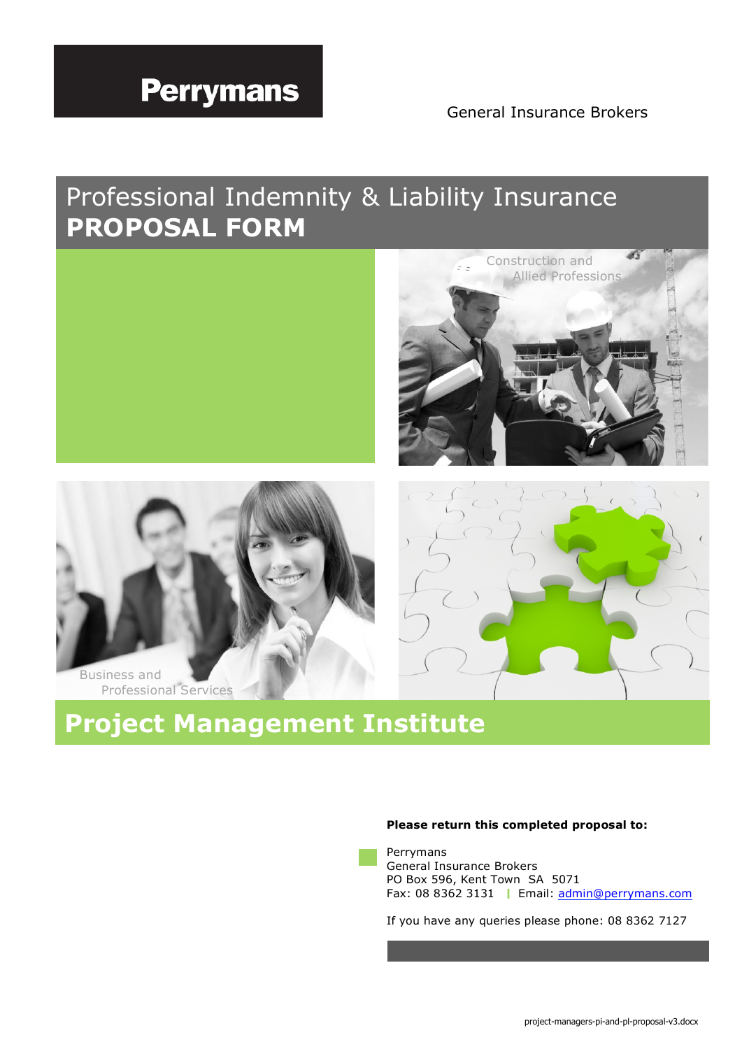# **Perrymans**

General Insurance Brokers

Construction and

 $\mathcal{L}$ 

## Professional Indemnity & Liability Insurance **PROPOSAL FORM**



# **Project Management Institute**

## **Please return this completed proposal to:**

Perrymans General Insurance Brokers PO Box 596, Kent Town SA 5071 Fax: 08 8362 3131 | Email: admin@perrymans.com

If you have any queries please phone: 08 8362 7127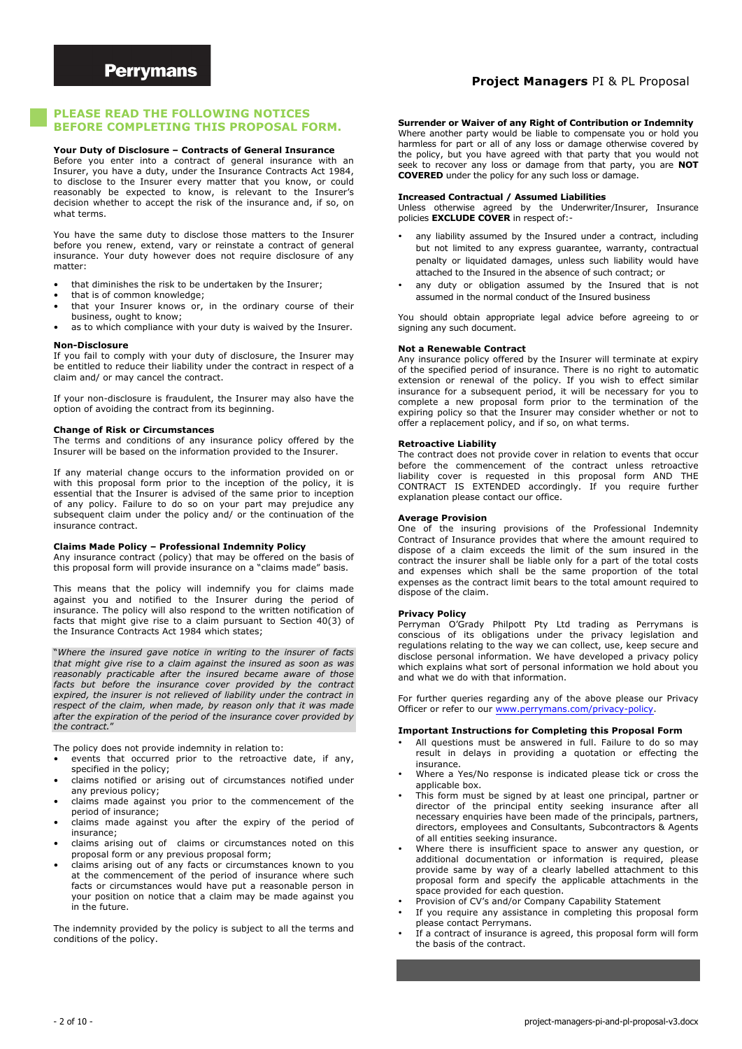## **Project Managers** PI & PL Proposal

#### **PLEASE READ THE FOLLOWING NOTICES BEFORE COMPLETING THIS PROPOSAL FORM.**

#### **Your Duty of Disclosure – Contracts of General Insurance**

Before you enter into a contract of general insurance with an Insurer, you have a duty, under the Insurance Contracts Act 1984, to disclose to the Insurer every matter that you know, or could reasonably be expected to know, is relevant to the Insurer's decision whether to accept the risk of the insurance and, if so, on what terms.

You have the same duty to disclose those matters to the Insurer before you renew, extend, vary or reinstate a contract of general insurance. Your duty however does not require disclosure of any matter:

- that diminishes the risk to be undertaken by the Insurer;
- that is of common knowledge;
- that your Insurer knows or, in the ordinary course of their business, ought to know;

as to which compliance with your duty is waived by the Insurer.

#### **Non-Disclosure**

If you fail to comply with your duty of disclosure, the Insurer may be entitled to reduce their liability under the contract in respect of a claim and/ or may cancel the contract.

If your non-disclosure is fraudulent, the Insurer may also have the option of avoiding the contract from its beginning.

#### **Change of Risk or Circumstances**

The terms and conditions of any insurance policy offered by the Insurer will be based on the information provided to the Insurer.

If any material change occurs to the information provided on or with this proposal form prior to the inception of the policy, it is essential that the Insurer is advised of the same prior to inception of any policy. Failure to do so on your part may prejudice any subsequent claim under the policy and/ or the continuation of the insurance contract.

#### **Claims Made Policy – Professional Indemnity Policy**

Any insurance contract (policy) that may be offered on the basis of this proposal form will provide insurance on a "claims made" basis.

This means that the policy will indemnify you for claims made against you and notified to the Insurer during the period of insurance. The policy will also respond to the written notification of facts that might give rise to a claim pursuant to Section 40(3) of the Insurance Contracts Act 1984 which states;

"*Where the insured gave notice in writing to the insurer of facts that might give rise to a claim against the insured as soon as was reasonably practicable after the insured became aware of those facts but before the insurance cover provided by the contract expired, the insurer is not relieved of liability under the contract in respect of the claim, when made, by reason only that it was made after the expiration of the period of the insurance cover provided by the contract.*"

The policy does not provide indemnity in relation to:

- events that occurred prior to the retroactive date, if any, specified in the policy;
- claims notified or arising out of circumstances notified under any previous policy;
- claims made against you prior to the commencement of the period of insurance;
- claims made against you after the expiry of the period of insurance;
- claims arising out of claims or circumstances noted on this proposal form or any previous proposal form;
- claims arising out of any facts or circumstances known to you at the commencement of the period of insurance where such facts or circumstances would have put a reasonable person in your position on notice that a claim may be made against you in the future.

The indemnity provided by the policy is subject to all the terms and conditions of the policy.

**Surrender or Waiver of any Right of Contribution or Indemnity**

Where another party would be liable to compensate you or hold you harmless for part or all of any loss or damage otherwise covered by the policy, but you have agreed with that party that you would not seek to recover any loss or damage from that party, you are **NOT COVERED** under the policy for any such loss or damage.

#### **Increased Contractual / Assumed Liabilities**

Unless otherwise agreed by the Underwriter/Insurer, Insurance policies **EXCLUDE COVER** in respect of:-

- any liability assumed by the Insured under a contract, including but not limited to any express guarantee, warranty, contractual penalty or liquidated damages, unless such liability would have attached to the Insured in the absence of such contract; or
- any duty or obligation assumed by the Insured that is not assumed in the normal conduct of the Insured business

You should obtain appropriate legal advice before agreeing to or signing any such document.

#### **Not a Renewable Contract**

Any insurance policy offered by the Insurer will terminate at expiry of the specified period of insurance. There is no right to automatic extension or renewal of the policy. If you wish to effect similar insurance for a subsequent period, it will be necessary for you to complete a new proposal form prior to the termination of the expiring policy so that the Insurer may consider whether or not to offer a replacement policy, and if so, on what terms.

#### **Retroactive Liability**

The contract does not provide cover in relation to events that occur before the commencement of the contract unless retroactive liability cover is requested in this proposal form AND THE CONTRACT IS EXTENDED accordingly. If you require further explanation please contact our office.

#### **Average Provision**

One of the insuring provisions of the Professional Indemnity Contract of Insurance provides that where the amount required to dispose of a claim exceeds the limit of the sum insured in the contract the insurer shall be liable only for a part of the total costs and expenses which shall be the same proportion of the total expenses as the contract limit bears to the total amount required to dispose of the claim.

#### **Privacy Policy**

Perryman O'Grady Philpott Pty Ltd trading as Perrymans is conscious of its obligations under the privacy legislation and regulations relating to the way we can collect, use, keep secure and disclose personal information. We have developed a privacy policy which explains what sort of personal information we hold about you and what we do with that information.

For further queries regarding any of the above please our Privacy Officer or refer to our www.perrymans.com/privacy-policy.

#### **Important Instructions for Completing this Proposal Form**

- All questions must be answered in full. Failure to do so may result in delays in providing a quotation or effecting the insurance.
- Where a Yes/No response is indicated please tick or cross the applicable box.
- This form must be signed by at least one principal, partner or director of the principal entity seeking insurance after all necessary enquiries have been made of the principals, partners, directors, employees and Consultants, Subcontractors & Agents of all entities seeking insurance.
- Where there is insufficient space to answer any question, or additional documentation or information is required, please provide same by way of a clearly labelled attachment to this proposal form and specify the applicable attachments in the space provided for each question.
- Provision of CV's and/or Company Capability Statement
- If you require any assistance in completing this proposal form please contact Perrymans.
- If a contract of insurance is agreed, this proposal form will form the basis of the contract.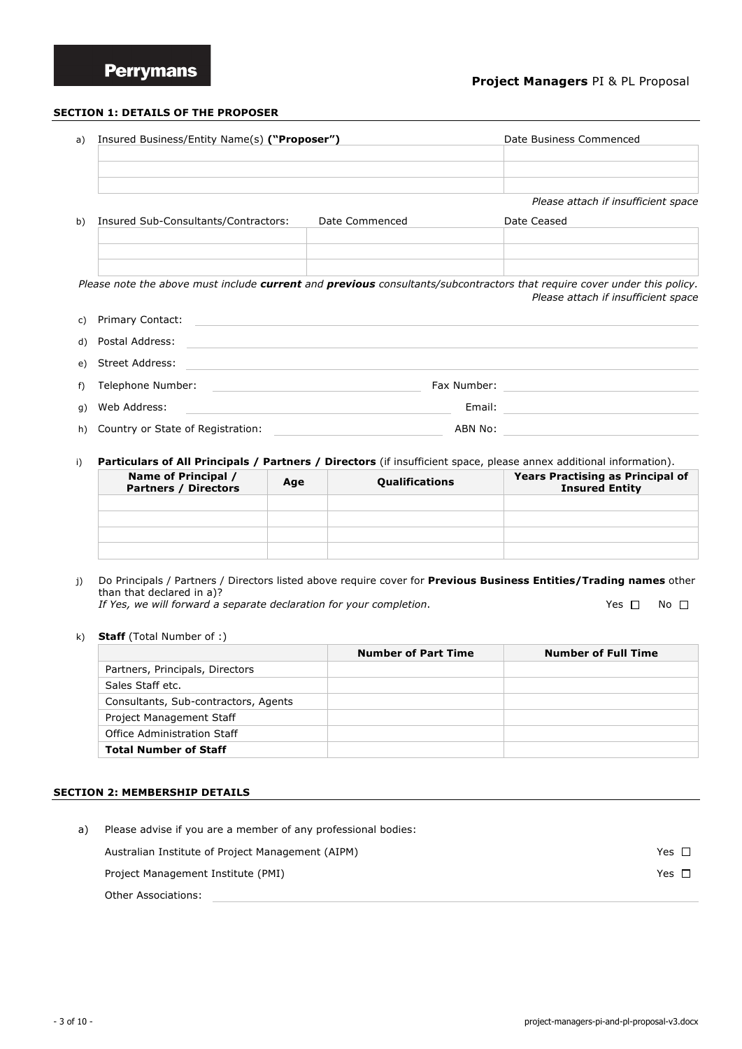## **Project Managers** PI & PL Proposal

#### **SECTION 1: DETAILS OF THE PROPOSER**

| a) | Insured Business/Entity Name(s) ("Proposer") | Date Business Commenced |                                     |  |
|----|----------------------------------------------|-------------------------|-------------------------------------|--|
|    |                                              |                         |                                     |  |
|    |                                              |                         | Please attach if insufficient space |  |
| b) | Insured Sub-Consultants/Contractors:         | Date Commenced          | Date Ceased                         |  |
|    |                                              |                         |                                     |  |

*Please note the above must include current and previous consultants/subcontractors that require cover under this policy. Please attach if insufficient space*

| c) Primary Contact: |                      |                       |
|---------------------|----------------------|-----------------------|
| d) Postal Address:  |                      |                       |
| e) Street Address:  |                      |                       |
|                     |                      |                       |
| g) Web Address:     |                      |                       |
|                     | f) Telephone Number: | Fax Number:<br>Email: |

h) Country or State of Registration: ABN No:

i) **Particulars of All Principals / Partners / Directors** (if insufficient space, please annex additional information).

| Name of Principal /<br><b>Partners / Directors</b> | Age | <b>Qualifications</b> | <b>Years Practising as Principal of</b><br><b>Insured Entity</b> |
|----------------------------------------------------|-----|-----------------------|------------------------------------------------------------------|
|                                                    |     |                       |                                                                  |
|                                                    |     |                       |                                                                  |
|                                                    |     |                       |                                                                  |
|                                                    |     |                       |                                                                  |

- j) Do Principals / Partners / Directors listed above require cover for **Previous Business Entities/Trading names** other than that declared in a)? *If Yes, we will forward a separate declaration for your completion.*  $\Box$  Yes  $\Box$  No  $\Box$
- k) **Staff** (Total Number of :)

|                                      | <b>Number of Part Time</b> | <b>Number of Full Time</b> |
|--------------------------------------|----------------------------|----------------------------|
| Partners, Principals, Directors      |                            |                            |
| Sales Staff etc.                     |                            |                            |
| Consultants, Sub-contractors, Agents |                            |                            |
| Project Management Staff             |                            |                            |
| Office Administration Staff          |                            |                            |
| <b>Total Number of Staff</b>         |                            |                            |

#### **SECTION 2: MEMBERSHIP DETAILS**

| a) | Please advise if you are a member of any professional bodies: |            |  |  |  |
|----|---------------------------------------------------------------|------------|--|--|--|
|    | Australian Institute of Project Management (AIPM)             | Yes $\Box$ |  |  |  |
|    | Project Management Institute (PMI)                            | Yes $\Box$ |  |  |  |
|    | Other Associations:                                           |            |  |  |  |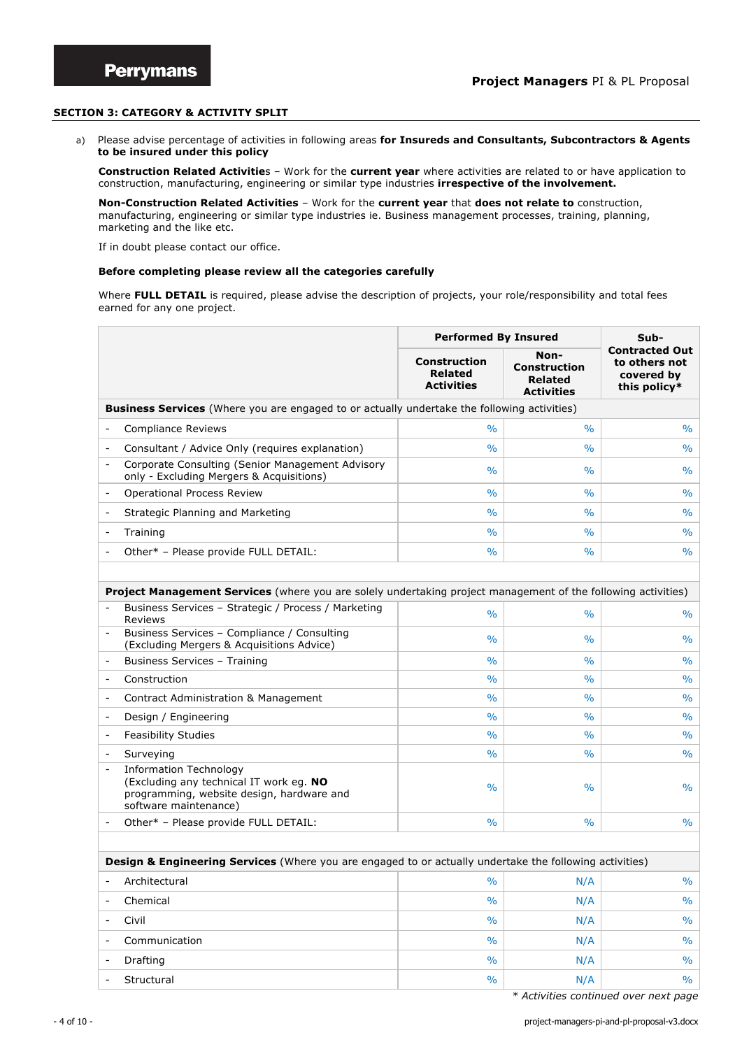### **SECTION 3: CATEGORY & ACTIVITY SPLIT**

a) Please advise percentage of activities in following areas **for Insureds and Consultants, Subcontractors & Agents to be insured under this policy**

**Construction Related Activitie**s – Work for the **current year** where activities are related to or have application to construction, manufacturing, engineering or similar type industries **irrespective of the involvement.**

**Non-Construction Related Activities** – Work for the **current year** that **does not relate to** construction, manufacturing, engineering or similar type industries ie. Business management processes, training, planning, marketing and the like etc.

If in doubt please contact our office.

#### **Before completing please review all the categories carefully**

Where FULL DETAIL is required, please advise the description of projects, your role/responsibility and total fees earned for any one project.

|                              |                                                                                                                                                | <b>Performed By Insured</b>                                | Sub-                                                               |                                                                      |
|------------------------------|------------------------------------------------------------------------------------------------------------------------------------------------|------------------------------------------------------------|--------------------------------------------------------------------|----------------------------------------------------------------------|
|                              |                                                                                                                                                | <b>Construction</b><br><b>Related</b><br><b>Activities</b> | Non-<br><b>Construction</b><br><b>Related</b><br><b>Activities</b> | <b>Contracted Out</b><br>to others not<br>covered by<br>this policy* |
|                              | <b>Business Services</b> (Where you are engaged to or actually undertake the following activities)                                             |                                                            |                                                                    |                                                                      |
|                              | <b>Compliance Reviews</b>                                                                                                                      | $\%$                                                       | $\%$                                                               | $\frac{1}{2}$                                                        |
| $\qquad \qquad \blacksquare$ | Consultant / Advice Only (requires explanation)                                                                                                | $\frac{0}{0}$                                              | %                                                                  | $\%$                                                                 |
| $\qquad \qquad \blacksquare$ | Corporate Consulting (Senior Management Advisory<br>only - Excluding Mergers & Acquisitions)                                                   | $\%$                                                       | $\%$                                                               | %                                                                    |
| $\qquad \qquad \blacksquare$ | <b>Operational Process Review</b>                                                                                                              | $\frac{0}{0}$                                              | $\%$                                                               | $\%$                                                                 |
|                              | Strategic Planning and Marketing                                                                                                               | $\%$                                                       | $\%$                                                               | %                                                                    |
|                              | Training                                                                                                                                       | $\frac{0}{0}$                                              | $\%$                                                               | $\%$                                                                 |
|                              | Other* - Please provide FULL DETAIL:                                                                                                           | $\frac{0}{0}$                                              | $\%$                                                               | $\%$                                                                 |
|                              |                                                                                                                                                |                                                            |                                                                    |                                                                      |
|                              | Project Management Services (where you are solely undertaking project management of the following activities)                                  |                                                            |                                                                    |                                                                      |
|                              | Business Services - Strategic / Process / Marketing<br>Reviews                                                                                 | $\%$                                                       | $\%$                                                               | %                                                                    |
|                              | Business Services - Compliance / Consulting<br>(Excluding Mergers & Acquisitions Advice)                                                       | $\frac{0}{0}$                                              | $\%$                                                               | $\%$                                                                 |
|                              | Business Services - Training                                                                                                                   | $\frac{0}{0}$                                              | $\%$                                                               | $\%$                                                                 |
| $\qquad \qquad \blacksquare$ | Construction                                                                                                                                   | $\%$                                                       | $\%$                                                               | %                                                                    |
|                              | <b>Contract Administration &amp; Management</b>                                                                                                | $\%$                                                       | $\%$                                                               | %                                                                    |
| $\overline{\phantom{m}}$     | Design / Engineering                                                                                                                           | $\%$                                                       | $\%$                                                               | %                                                                    |
|                              | <b>Feasibility Studies</b>                                                                                                                     | $\frac{0}{0}$                                              | $\%$                                                               | $\%$                                                                 |
|                              | Surveying                                                                                                                                      | $\%$                                                       | $\%$                                                               | %                                                                    |
| $\overline{\phantom{a}}$     | <b>Information Technology</b><br>(Excluding any technical IT work eg. NO<br>programming, website design, hardware and<br>software maintenance) | $\%$                                                       | $\%$                                                               | $\frac{0}{0}$                                                        |
|                              | Other* - Please provide FULL DETAIL:                                                                                                           | $\frac{0}{0}$                                              | $\%$                                                               | $\%$                                                                 |
|                              |                                                                                                                                                |                                                            |                                                                    |                                                                      |
|                              | Design & Engineering Services (Where you are engaged to or actually undertake the following activities)                                        |                                                            |                                                                    |                                                                      |
|                              | Architectural                                                                                                                                  | $\%$                                                       | N/A                                                                | $\%$                                                                 |
| $\overline{\phantom{0}}$     | Chemical                                                                                                                                       | $\frac{0}{0}$                                              | N/A                                                                | $\frac{0}{0}$                                                        |
| -                            | Civil                                                                                                                                          | $\frac{0}{0}$                                              | N/A                                                                | $\frac{0}{0}$                                                        |
| $\overline{\phantom{m}}$     | Communication                                                                                                                                  | $\frac{0}{0}$                                              | N/A                                                                | $\frac{1}{2}$                                                        |
|                              | Drafting                                                                                                                                       | $\frac{0}{0}$                                              | N/A                                                                | $\%$                                                                 |
| $\overline{\phantom{0}}$     | Structural                                                                                                                                     | $\frac{1}{2}$                                              | N/A                                                                | $\%$                                                                 |

*\* Activities continued over next page*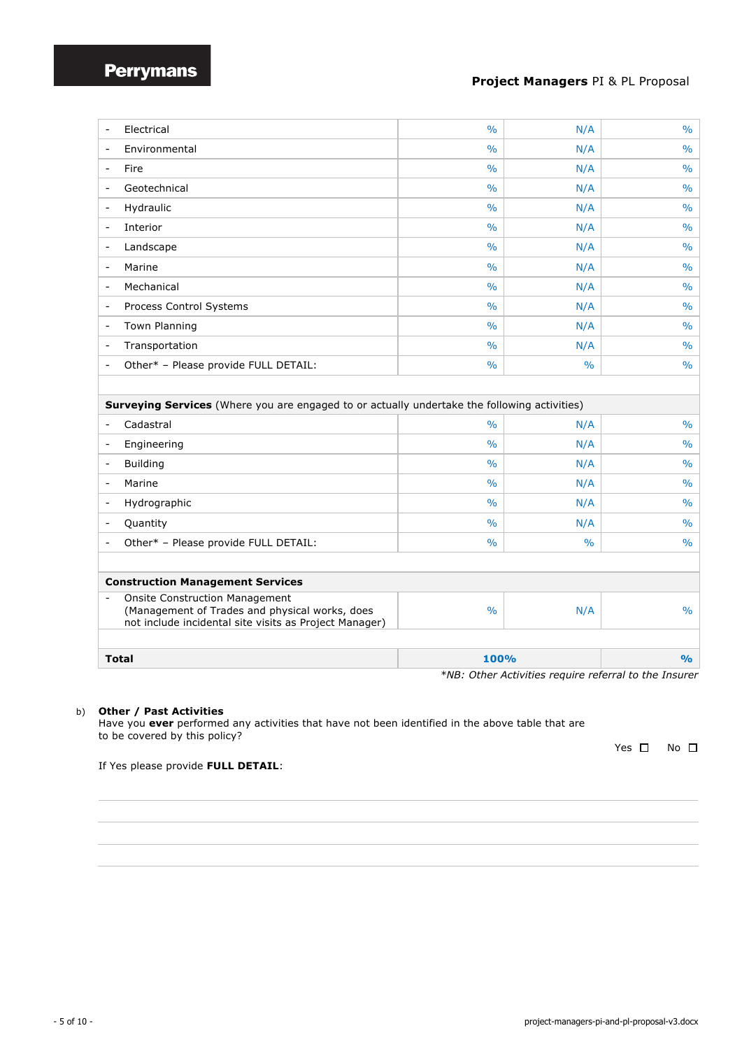## **Project Managers** PI & PL Proposal

|                                               | Electrical                                                                                                                                        | $\frac{0}{0}$ | N/A           | $\frac{0}{0}$ |
|-----------------------------------------------|---------------------------------------------------------------------------------------------------------------------------------------------------|---------------|---------------|---------------|
| $\overline{\phantom{a}}$                      | Environmental                                                                                                                                     | $\frac{0}{0}$ | N/A           | $\frac{0}{0}$ |
| $\overline{\phantom{a}}$                      | Fire                                                                                                                                              | $\frac{0}{0}$ | N/A           | $\frac{0}{0}$ |
|                                               | Geotechnical                                                                                                                                      | $\frac{0}{0}$ | N/A           | $\frac{0}{0}$ |
|                                               |                                                                                                                                                   |               |               |               |
| $\overline{\phantom{a}}$                      | Hydraulic                                                                                                                                         | $\%$          | N/A           | $\%$          |
| $\overline{\phantom{a}}$                      | Interior                                                                                                                                          | $\frac{0}{0}$ | N/A           | $\frac{0}{0}$ |
|                                               | Landscape                                                                                                                                         | $\frac{0}{0}$ | N/A           | $\frac{0}{0}$ |
| $\overline{\phantom{a}}$                      | Marine                                                                                                                                            | $\frac{0}{0}$ | N/A           | $\frac{0}{0}$ |
| $\overline{\phantom{a}}$                      | Mechanical                                                                                                                                        | $\frac{0}{0}$ | N/A           | $\frac{0}{0}$ |
| $\overline{\phantom{a}}$                      | Process Control Systems                                                                                                                           | $\frac{0}{0}$ | N/A           | $\%$          |
| $\overline{\phantom{0}}$                      | <b>Town Planning</b>                                                                                                                              | $\frac{0}{0}$ | N/A           | $\frac{0}{0}$ |
| $\qquad \qquad \blacksquare$                  | Transportation                                                                                                                                    | $\frac{0}{0}$ | N/A           | $\%$          |
|                                               | Other* - Please provide FULL DETAIL:                                                                                                              | $\frac{0}{0}$ | $\%$          | $\frac{0}{0}$ |
|                                               |                                                                                                                                                   |               |               |               |
|                                               | <b>Surveying Services</b> (Where you are engaged to or actually undertake the following activities)                                               |               |               |               |
|                                               | Cadastral                                                                                                                                         | $\frac{0}{0}$ | N/A           | $\frac{0}{0}$ |
| $\overline{\phantom{a}}$                      | Engineering                                                                                                                                       | $\frac{0}{0}$ | N/A           | $\frac{0}{0}$ |
| $\overline{\phantom{a}}$                      | <b>Building</b>                                                                                                                                   | $\frac{0}{0}$ | N/A           | $\frac{0}{0}$ |
|                                               | Marine                                                                                                                                            | $\%$          | N/A           | $\%$          |
| $\overline{\phantom{a}}$                      | Hydrographic                                                                                                                                      | $\frac{0}{0}$ | N/A           | $\frac{0}{0}$ |
|                                               | Quantity                                                                                                                                          | $\frac{0}{0}$ | N/A           | $\frac{0}{0}$ |
|                                               | Other* - Please provide FULL DETAIL:                                                                                                              | $\frac{0}{0}$ | $\frac{0}{0}$ | $\frac{0}{0}$ |
|                                               |                                                                                                                                                   |               |               |               |
|                                               | <b>Construction Management Services</b>                                                                                                           |               |               |               |
|                                               | <b>Onsite Construction Management</b><br>(Management of Trades and physical works, does<br>not include incidental site visits as Project Manager) | $\frac{0}{0}$ | N/A           | $\frac{0}{0}$ |
|                                               |                                                                                                                                                   |               |               | $\frac{9}{6}$ |
| 100%<br><b>Total</b><br>$+$ $N$<br>$\Delta H$ |                                                                                                                                                   |               |               |               |

*\*NB: Other Activities require referral to the Insurer* 

## b) **Other / Past Activities**

Have you **ever** performed any activities that have not been identified in the above table that are to be covered by this policy?

Yes  $\square$  No  $\square$ 

If Yes please provide **FULL DETAIL**: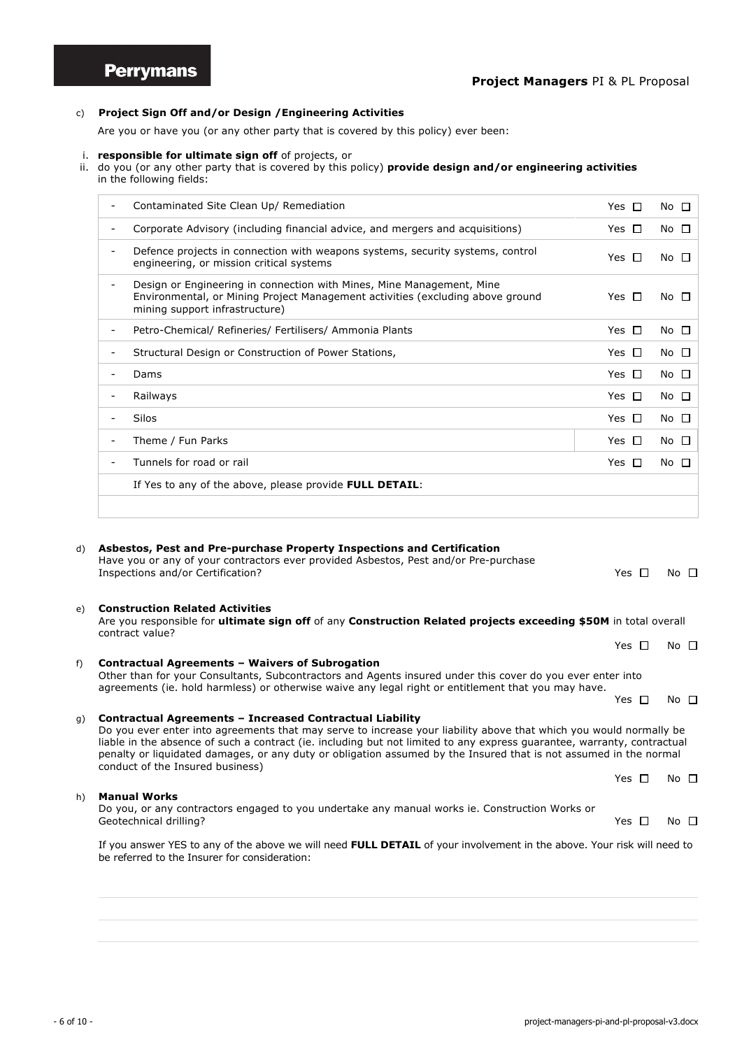## c) **Project Sign Off and/or Design /Engineering Activities**

Are you or have you (or any other party that is covered by this policy) ever been:

#### i. **responsible for ultimate sign off** of projects, or

ii. do you (or any other party that is covered by this policy) **provide design and/or engineering activities** in the following fields:

|                          | Contaminated Site Clean Up/ Remediation                                                                                                                                                   | Yes $\Box$     | No $\square$    |
|--------------------------|-------------------------------------------------------------------------------------------------------------------------------------------------------------------------------------------|----------------|-----------------|
|                          | Corporate Advisory (including financial advice, and mergers and acquisitions)                                                                                                             | Yes.<br>$\Box$ | No $\square$    |
|                          | Defence projects in connection with weapons systems, security systems, control<br>engineering, or mission critical systems                                                                | Yes $\Box$     | No <sub>1</sub> |
| $\overline{\phantom{a}}$ | Design or Engineering in connection with Mines, Mine Management, Mine<br>Environmental, or Mining Project Management activities (excluding above ground<br>mining support infrastructure) | Yes $\Box$     | No □            |
|                          | Petro-Chemical/ Refineries/ Fertilisers/ Ammonia Plants                                                                                                                                   | Yes $\Box$     | No $\square$    |
|                          | Structural Design or Construction of Power Stations,                                                                                                                                      | Yes $\Box$     | $No$ $\Box$     |
|                          | Dams                                                                                                                                                                                      | Yes $\Box$     | $No$ $\Box$     |
|                          | Railways                                                                                                                                                                                  | Yes<br>$\Box$  | $No$ $\Box$     |
|                          | Silos                                                                                                                                                                                     | Yes $\Box$     | $No$ $\Box$     |
|                          | Theme / Fun Parks                                                                                                                                                                         | Yes $\Box$     | $No$ $\Box$     |
|                          | Tunnels for road or rail                                                                                                                                                                  | Yes<br>□□      | No $\square$    |
|                          | If Yes to any of the above, please provide FULL DETAIL:                                                                                                                                   |                |                 |
|                          |                                                                                                                                                                                           |                |                 |

## d) **Asbestos, Pest and Pre-purchase Property Inspections and Certification**  Have you or any of your contractors ever provided Asbestos, Pest and/or Pre-purchase Inspections and/or Certification?  $\Box$  No  $\Box$  No  $\Box$ e) **Construction Related Activities** Are you responsible for **ultimate sign off** of any **Construction Related projects exceeding \$50M** in total overall contract value? Yes  $\square$  No  $\square$ f) **Contractual Agreements – Waivers of Subrogation** Other than for your Consultants, Subcontractors and Agents insured under this cover do you ever enter into agreements (ie. hold harmless) or otherwise waive any legal right or entitlement that you may have. Yes  $\square$  No  $\square$ g) **Contractual Agreements – Increased Contractual Liability** Do you ever enter into agreements that may serve to increase your liability above that which you would normally be liable in the absence of such a contract (ie. including but not limited to any express guarantee, warranty, contractual penalty or liquidated damages, or any duty or obligation assumed by the Insured that is not assumed in the normal conduct of the Insured business) Yes  $\square$  No  $\square$

h) **Manual Works**  Do you, or any contractors engaged to you undertake any manual works ie. Construction Works or Geotechnical drilling?  $\Box$  No  $\Box$  No  $\Box$ 

If you answer YES to any of the above we will need **FULL DETAIL** of your involvement in the above. Your risk will need to be referred to the Insurer for consideration: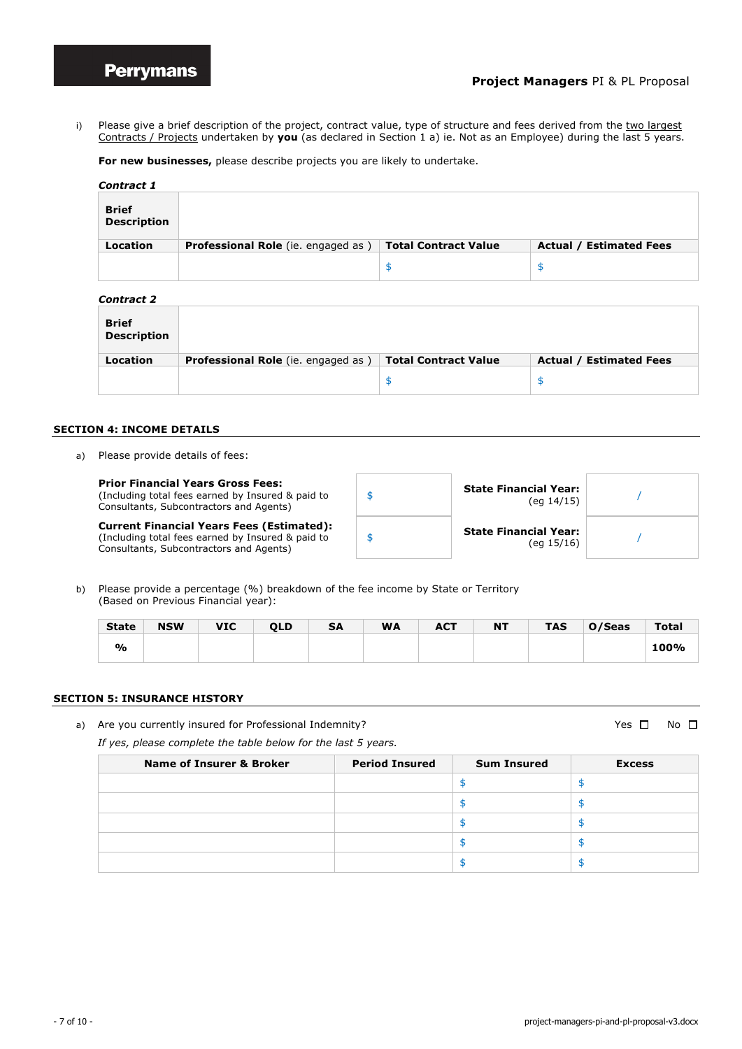i) Please give a brief description of the project, contract value, type of structure and fees derived from the two largest Contracts / Projects undertaken by **you** (as declared in Section 1 a) ie. Not as an Employee) during the last 5 years.

**For new businesses,** please describe projects you are likely to undertake.

| Contract 1           |                                            |                             |                                |  |  |  |  |  |  |
|----------------------|--------------------------------------------|-----------------------------|--------------------------------|--|--|--|--|--|--|
| Brief<br>Description |                                            |                             |                                |  |  |  |  |  |  |
| Location             | <b>Professional Role</b> (ie. engaged as ) | <b>Total Contract Value</b> | <b>Actual / Estimated Fees</b> |  |  |  |  |  |  |
|                      |                                            | ፍ                           | Œ<br>ு                         |  |  |  |  |  |  |

| <b>Contract 2</b>                  |                                           |                             |                                |
|------------------------------------|-------------------------------------------|-----------------------------|--------------------------------|
| <b>Brief</b><br><b>Description</b> |                                           |                             |                                |
| Location                           | <b>Professional Role</b> (ie. engaged as) | <b>Total Contract Value</b> | <b>Actual / Estimated Fees</b> |
|                                    |                                           | \$                          | \$.                            |

#### **SECTION 4: INCOME DETAILS**

a) Please provide details of fees:

| <b>Prior Financial Years Gross Fees:</b><br>(Including total fees earned by Insured & paid to<br>Consultants, Subcontractors and Agents)         | <b>State Financial Year:</b><br>(eq 14/15) |  |
|--------------------------------------------------------------------------------------------------------------------------------------------------|--------------------------------------------|--|
| <b>Current Financial Years Fees (Estimated):</b><br>(Including total fees earned by Insured & paid to<br>Consultants, Subcontractors and Agents) | <b>State Financial Year:</b><br>(eq 15/16) |  |

b) Please provide a percentage (%) breakdown of the fee income by State or Territory (Based on Previous Financial year):

| <b>State</b> | <b>NSW</b> | <b>VIC</b> | <b>OLD</b> | <b>SA</b> | <b>WA</b> | <b>ACT</b> | <b>NT</b> | <b>TAS</b> | O/Seas | <b>Total</b> |
|--------------|------------|------------|------------|-----------|-----------|------------|-----------|------------|--------|--------------|
| %            |            |            |            |           |           |            |           |            |        | 100%         |

#### **SECTION 5: INSURANCE HISTORY**

a) Are you currently insured for Professional Indemnity?  $\Box$  Yes  $\Box$  No  $\Box$ 

*If yes, please complete the table below for the last 5 years.*

| Name of Insurer & Broker | <b>Period Insured</b> | <b>Sum Insured</b> | <b>Excess</b> |
|--------------------------|-----------------------|--------------------|---------------|
|                          |                       |                    |               |
|                          |                       |                    |               |
|                          |                       |                    |               |
|                          |                       |                    |               |
|                          |                       |                    |               |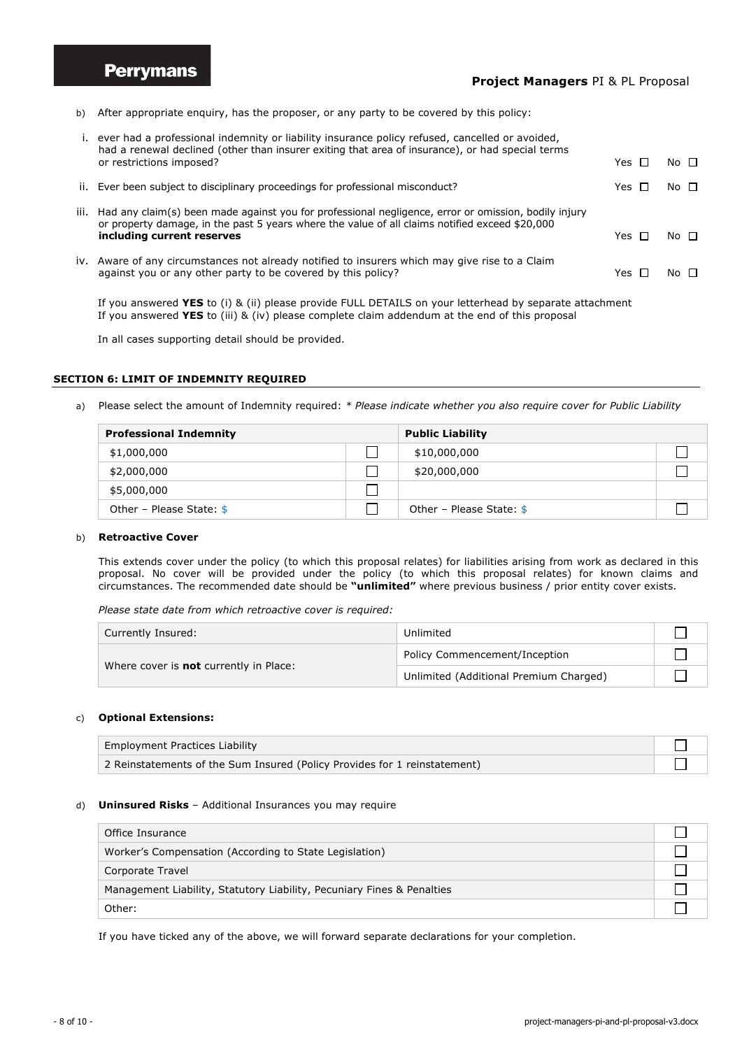**Perrymans** 

## **Project Managers** PI & PL Proposal

b) After appropriate enquiry, has the proposer, or any party to be covered by this policy:

|      | i. ever had a professional indemnity or liability insurance policy refused, cancelled or avoided,<br>had a renewal declined (other than insurer exiting that area of insurance), or had special terms     |              |             |
|------|-----------------------------------------------------------------------------------------------------------------------------------------------------------------------------------------------------------|--------------|-------------|
|      | or restrictions imposed?                                                                                                                                                                                  | Yes <b>F</b> | $No$ $\Box$ |
|      | ii. Ever been subject to disciplinary proceedings for professional misconduct?                                                                                                                            | Yes Г        | $No$ $\Box$ |
| iii. | Had any claim(s) been made against you for professional negligence, error or omission, bodily injury<br>or property damage, in the past 5 years where the value of all claims notified exceed \$20,000    |              |             |
|      | including current reserves                                                                                                                                                                                | Yes Г        | No $\Box$   |
|      | iv. Aware of any circumstances not already notified to insurers which may give rise to a Claim<br>against you or any other party to be covered by this policy?                                            | Yes Г        | No $\Box$   |
|      | If you answered YES to (i) & (ii) please provide FULL DETAILS on your letterhead by separate attachment<br>If you answered YES to (iii) & (iv) please complete claim addendum at the end of this proposal |              |             |

In all cases supporting detail should be provided.

#### **SECTION 6: LIMIT OF INDEMNITY REQUIRED**

a) Please select the amount of Indemnity required: *\* Please indicate whether you also require cover for Public Liability*

| <b>Professional Indemnity</b> |  | <b>Public Liability</b>   |  |  |
|-------------------------------|--|---------------------------|--|--|
| \$1,000,000                   |  | \$10,000,000              |  |  |
| \$2,000,000                   |  | \$20,000,000              |  |  |
| \$5,000,000                   |  |                           |  |  |
| Other – Please State: $$$     |  | Other - Please State: $$$ |  |  |

#### b) **Retroactive Cover**

This extends cover under the policy (to which this proposal relates) for liabilities arising from work as declared in this proposal. No cover will be provided under the policy (to which this proposal relates) for known claims and circumstances. The recommended date should be **"unlimited"** where previous business / prior entity cover exists.

*Please state date from which retroactive cover is required:*

| Currently Insured:                            | Unlimited                              |  |
|-----------------------------------------------|----------------------------------------|--|
|                                               | Policy Commencement/Inception          |  |
| Where cover is <b>not</b> currently in Place: | Unlimited (Additional Premium Charged) |  |

## c) **Optional Extensions:**

| Employment Practices Liability                                            |  |
|---------------------------------------------------------------------------|--|
| 2 Reinstatements of the Sum Insured (Policy Provides for 1 reinstatement) |  |

#### d) **Uninsured Risks** – Additional Insurances you may require

| Office Insurance                                                       |  |
|------------------------------------------------------------------------|--|
| Worker's Compensation (According to State Legislation)                 |  |
| Corporate Travel                                                       |  |
| Management Liability, Statutory Liability, Pecuniary Fines & Penalties |  |
| Other:                                                                 |  |

If you have ticked any of the above, we will forward separate declarations for your completion.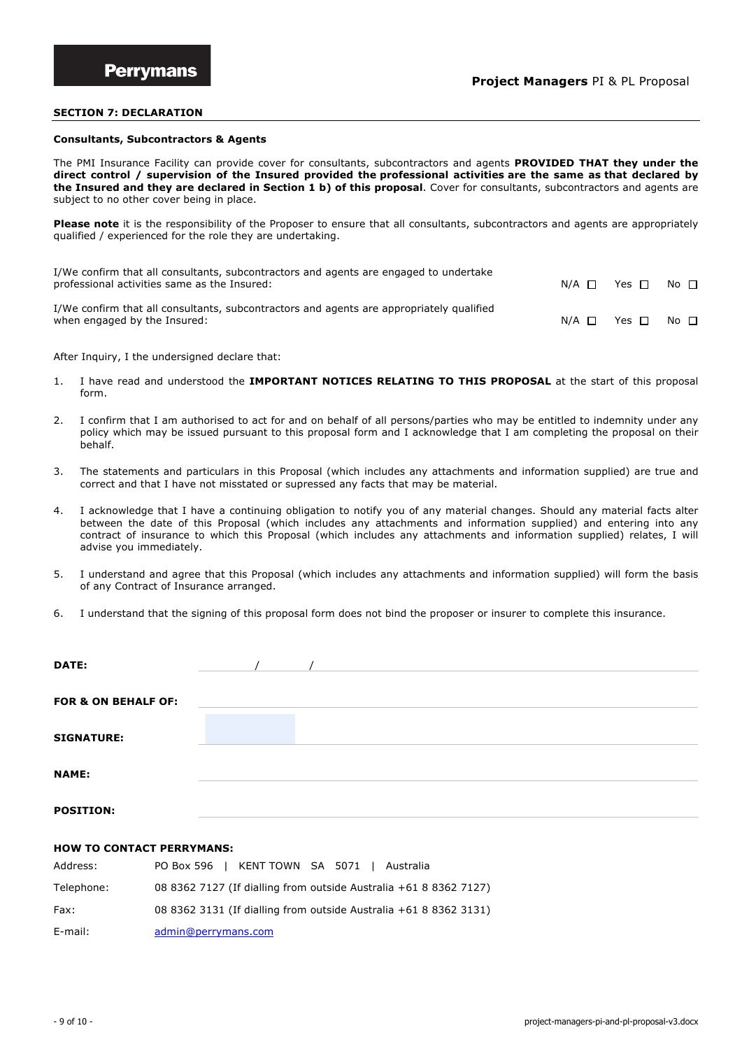#### **SECTION 7: DECLARATION**

#### **Consultants, Subcontractors & Agents**

The PMI Insurance Facility can provide cover for consultants, subcontractors and agents **PROVIDED THAT they under the direct control / supervision of the Insured provided the professional activities are the same as that declared by the Insured and they are declared in Section 1 b) of this proposal**. Cover for consultants, subcontractors and agents are subject to no other cover being in place.

**Please note** it is the responsibility of the Proposer to ensure that all consultants, subcontractors and agents are appropriately qualified / experienced for the role they are undertaking.

| I/We confirm that all consultants, subcontractors and agents are engaged to undertake<br>professional activities same as the Insured: | $N/A$ $\Box$ | Yes $\Box$ | $No$ $\Box$ |
|---------------------------------------------------------------------------------------------------------------------------------------|--------------|------------|-------------|
| I/We confirm that all consultants, subcontractors and agents are appropriately qualified<br>when engaged by the Insured:              | $N/A$ $\Box$ | Yes $\Box$ | $No$ $\Box$ |

After Inquiry, I the undersigned declare that:

- 1. I have read and understood the **IMPORTANT NOTICES RELATING TO THIS PROPOSAL** at the start of this proposal form.
- 2. I confirm that I am authorised to act for and on behalf of all persons/parties who may be entitled to indemnity under any policy which may be issued pursuant to this proposal form and I acknowledge that I am completing the proposal on their behalf.
- 3. The statements and particulars in this Proposal (which includes any attachments and information supplied) are true and correct and that I have not misstated or supressed any facts that may be material.
- 4. I acknowledge that I have a continuing obligation to notify you of any material changes. Should any material facts alter between the date of this Proposal (which includes any attachments and information supplied) and entering into any contract of insurance to which this Proposal (which includes any attachments and information supplied) relates, I will advise you immediately.
- 5. I understand and agree that this Proposal (which includes any attachments and information supplied) will form the basis of any Contract of Insurance arranged.
- 6. I understand that the signing of this proposal form does not bind the proposer or insurer to complete this insurance.

| DATE:                          |  |  |  |
|--------------------------------|--|--|--|
| <b>FOR &amp; ON BEHALF OF:</b> |  |  |  |
| <b>SIGNATURE:</b>              |  |  |  |
| <b>NAME:</b>                   |  |  |  |
| <b>POSITION:</b>               |  |  |  |

#### **HOW TO CONTACT PERRYMANS:**

| Address:   | PO Box 596   KENT TOWN SA 5071   Australia                        |
|------------|-------------------------------------------------------------------|
| Telephone: | 08 8362 7127 (If dialling from outside Australia +61 8 8362 7127) |
| Fax:       | 08 8362 3131 (If dialling from outside Australia +61 8 8362 3131) |
| E-mail:    | admin@perrymans.com                                               |